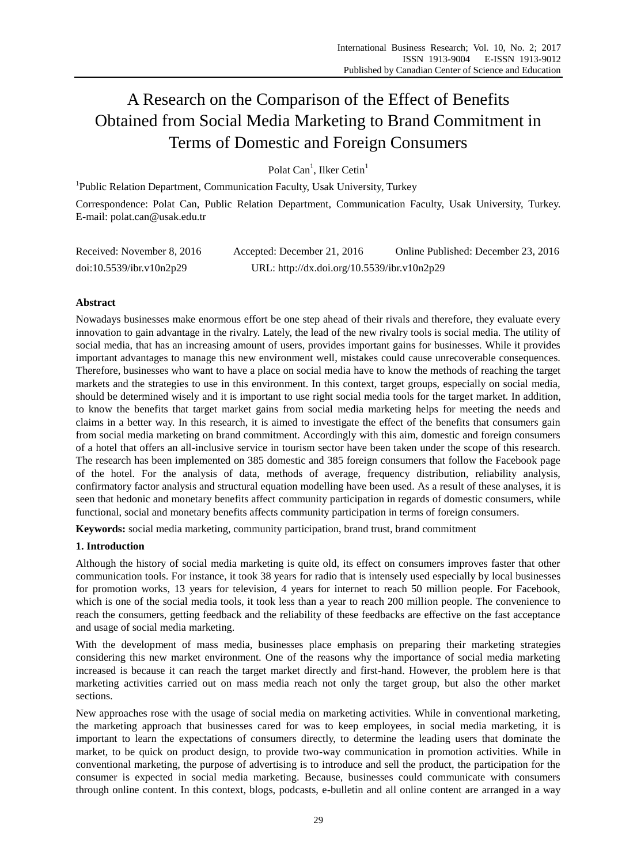# A Research on the Comparison of the Effect of Benefits Obtained from Social Media Marketing to Brand Commitment in Terms of Domestic and Foreign Consumers

Polat Can<sup>1</sup>, Ilker Cetin<sup>1</sup>

<sup>1</sup>Public Relation Department, Communication Faculty, Usak University, Turkey

Correspondence: Polat Can, Public Relation Department, Communication Faculty, Usak University, Turkey. E-mail: polat.can@usak.edu.tr

| Received: November 8, 2016 | Accepted: December 21, 2016                 | Online Published: December 23, 2016 |
|----------------------------|---------------------------------------------|-------------------------------------|
| doi:10.5539/ibr.v10n2p29   | URL: http://dx.doi.org/10.5539/ibr.v10n2p29 |                                     |

# **Abstract**

Nowadays businesses make enormous effort be one step ahead of their rivals and therefore, they evaluate every innovation to gain advantage in the rivalry. Lately, the lead of the new rivalry tools is social media. The utility of social media, that has an increasing amount of users, provides important gains for businesses. While it provides important advantages to manage this new environment well, mistakes could cause unrecoverable consequences. Therefore, businesses who want to have a place on social media have to know the methods of reaching the target markets and the strategies to use in this environment. In this context, target groups, especially on social media, should be determined wisely and it is important to use right social media tools for the target market. In addition, to know the benefits that target market gains from social media marketing helps for meeting the needs and claims in a better way. In this research, it is aimed to investigate the effect of the benefits that consumers gain from social media marketing on brand commitment. Accordingly with this aim, domestic and foreign consumers of a hotel that offers an all-inclusive service in tourism sector have been taken under the scope of this research. The research has been implemented on 385 domestic and 385 foreign consumers that follow the Facebook page of the hotel. For the analysis of data, methods of average, frequency distribution, reliability analysis, confirmatory factor analysis and structural equation modelling have been used. As a result of these analyses, it is seen that hedonic and monetary benefits affect community participation in regards of domestic consumers, while functional, social and monetary benefits affects community participation in terms of foreign consumers.

**Keywords:** social media marketing, community participation, brand trust, brand commitment

# **1. Introduction**

Although the history of social media marketing is quite old, its effect on consumers improves faster that other communication tools. For instance, it took 38 years for radio that is intensely used especially by local businesses for promotion works, 13 years for television, 4 years for internet to reach 50 million people. For Facebook, which is one of the social media tools, it took less than a year to reach 200 million people. The convenience to reach the consumers, getting feedback and the reliability of these feedbacks are effective on the fast acceptance and usage of social media marketing.

With the development of mass media, businesses place emphasis on preparing their marketing strategies considering this new market environment. One of the reasons why the importance of social media marketing increased is because it can reach the target market directly and first-hand. However, the problem here is that marketing activities carried out on mass media reach not only the target group, but also the other market sections.

New approaches rose with the usage of social media on marketing activities. While in conventional marketing, the marketing approach that businesses cared for was to keep employees, in social media marketing, it is important to learn the expectations of consumers directly, to determine the leading users that dominate the market, to be quick on product design, to provide two-way communication in promotion activities. While in conventional marketing, the purpose of advertising is to introduce and sell the product, the participation for the consumer is expected in social media marketing. Because, businesses could communicate with consumers through online content. In this context, blogs, podcasts, e-bulletin and all online content are arranged in a way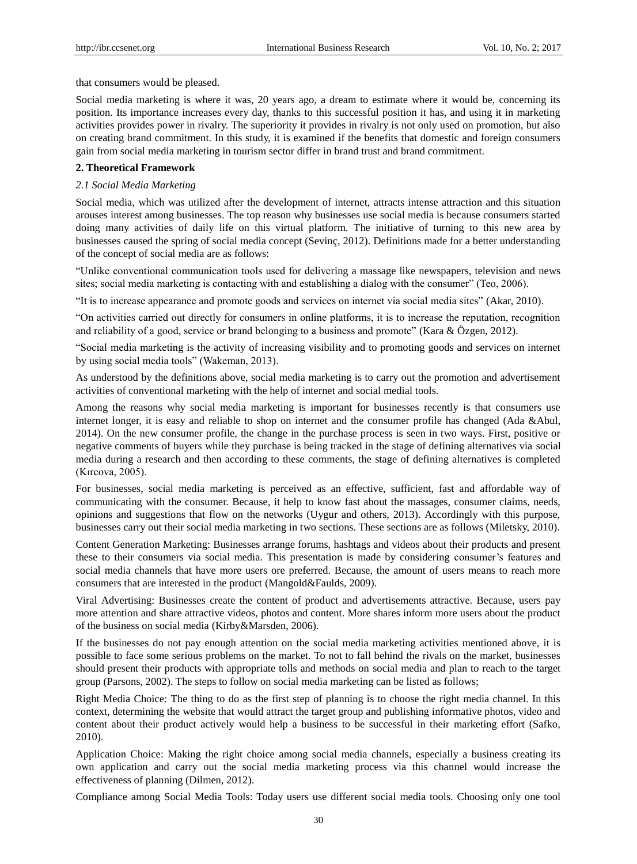that consumers would be pleased.

Social media marketing is where it was, 20 years ago, a dream to estimate where it would be, concerning its position. Its importance increases every day, thanks to this successful position it has, and using it in marketing activities provides power in rivalry. The superiority it provides in rivalry is not only used on promotion, but also on creating brand commitment. In this study, it is examined if the benefits that domestic and foreign consumers gain from social media marketing in tourism sector differ in brand trust and brand commitment.

## **2. Theoretical Framework**

#### *2.1 Social Media Marketing*

Social media, which was utilized after the development of internet, attracts intense attraction and this situation arouses interest among businesses. The top reason why businesses use social media is because consumers started doing many activities of daily life on this virtual platform. The initiative of turning to this new area by businesses caused the spring of social media concept (Sevinç, 2012). Definitions made for a better understanding of the concept of social media are as follows:

"Unlike conventional communication tools used for delivering a massage like newspapers, television and news sites; social media marketing is contacting with and establishing a dialog with the consumer" (Teo, 2006).

"It is to increase appearance and promote goods and services on internet via social media sites" (Akar, 2010).

"On activities carried out directly for consumers in online platforms, it is to increase the reputation, recognition and reliability of a good, service or brand belonging to a business and promote" (Kara & Özgen, 2012).

"Social media marketing is the activity of increasing visibility and to promoting goods and services on internet by using social media tools" (Wakeman, 2013).

As understood by the definitions above, social media marketing is to carry out the promotion and advertisement activities of conventional marketing with the help of internet and social medial tools.

Among the reasons why social media marketing is important for businesses recently is that consumers use internet longer, it is easy and reliable to shop on internet and the consumer profile has changed (Ada &Abul, 2014). On the new consumer profile, the change in the purchase process is seen in two ways. First, positive or negative comments of buyers while they purchase is being tracked in the stage of defining alternatives via social media during a research and then according to these comments, the stage of defining alternatives is completed (Kırcova, 2005).

For businesses, social media marketing is perceived as an effective, sufficient, fast and affordable way of communicating with the consumer. Because, it help to know fast about the massages, consumer claims, needs, opinions and suggestions that flow on the networks (Uygur and others, 2013). Accordingly with this purpose, businesses carry out their social media marketing in two sections. These sections are as follows (Miletsky, 2010).

Content Generation Marketing: Businesses arrange forums, hashtags and videos about their products and present these to their consumers via social media. This presentation is made by considering consumer"s features and social media channels that have more users ore preferred. Because, the amount of users means to reach more consumers that are interested in the product (Mangold&Faulds, 2009).

Viral Advertising: Businesses create the content of product and advertisements attractive. Because, users pay more attention and share attractive videos, photos and content. More shares inform more users about the product of the business on social media (Kirby&Marsden, 2006).

If the businesses do not pay enough attention on the social media marketing activities mentioned above, it is possible to face some serious problems on the market. To not to fall behind the rivals on the market, businesses should present their products with appropriate tolls and methods on social media and plan to reach to the target group (Parsons, 2002). The steps to follow on social media marketing can be listed as follows;

Right Media Choice: The thing to do as the first step of planning is to choose the right media channel. In this context, determining the website that would attract the target group and publishing informative photos, video and content about their product actively would help a business to be successful in their marketing effort (Safko, 2010).

Application Choice: Making the right choice among social media channels, especially a business creating its own application and carry out the social media marketing process via this channel would increase the effectiveness of planning (Dilmen, 2012).

Compliance among Social Media Tools: Today users use different social media tools. Choosing only one tool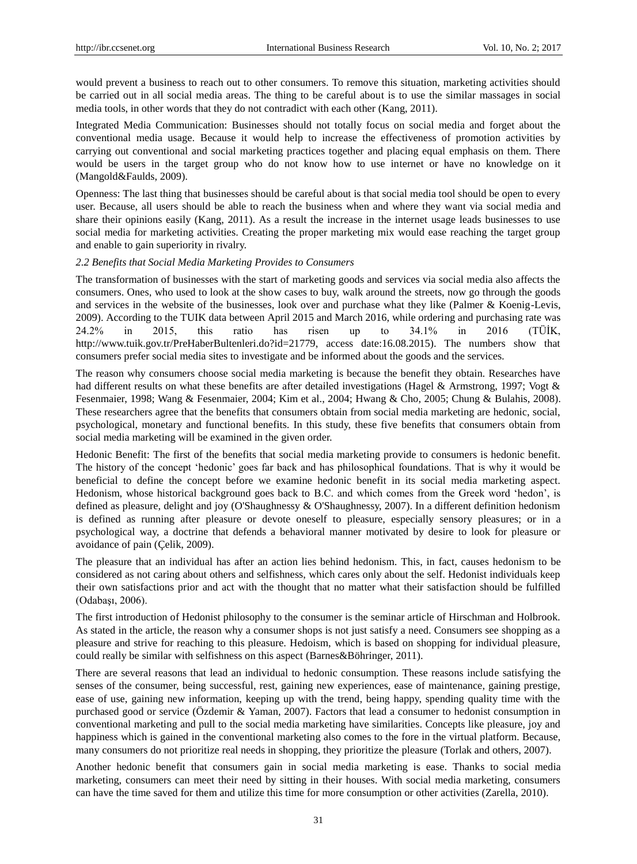would prevent a business to reach out to other consumers. To remove this situation, marketing activities should be carried out in all social media areas. The thing to be careful about is to use the similar massages in social media tools, in other words that they do not contradict with each other (Kang, 2011).

Integrated Media Communication: Businesses should not totally focus on social media and forget about the conventional media usage. Because it would help to increase the effectiveness of promotion activities by carrying out conventional and social marketing practices together and placing equal emphasis on them. There would be users in the target group who do not know how to use internet or have no knowledge on it (Mangold&Faulds, 2009).

Openness: The last thing that businesses should be careful about is that social media tool should be open to every user. Because, all users should be able to reach the business when and where they want via social media and share their opinions easily (Kang, 2011). As a result the increase in the internet usage leads businesses to use social media for marketing activities. Creating the proper marketing mix would ease reaching the target group and enable to gain superiority in rivalry.

#### *2.2 Benefits that Social Media Marketing Provides to Consumers*

The transformation of businesses with the start of marketing goods and services via social media also affects the consumers. Ones, who used to look at the show cases to buy, walk around the streets, now go through the goods and services in the website of the businesses, look over and purchase what they like (Palmer & Koenig-Levis, 2009). According to the TUIK data between April 2015 and March 2016, while ordering and purchasing rate was 24.2% in 2015, this ratio has risen up to 34.1% in 2016 (TÜİK, http://www.tuik.gov.tr/PreHaberBultenleri.do?id=21779, access date:16.08.2015). The numbers show that consumers prefer social media sites to investigate and be informed about the goods and the services.

The reason why consumers choose social media marketing is because the benefit they obtain. Researches have had different results on what these benefits are after detailed investigations (Hagel & Armstrong, 1997; Vogt & Fesenmaier, 1998; Wang & Fesenmaier, 2004; Kim et al., 2004; Hwang & Cho, 2005; Chung & Bulahis, 2008). These researchers agree that the benefits that consumers obtain from social media marketing are hedonic, social, psychological, monetary and functional benefits. In this study, these five benefits that consumers obtain from social media marketing will be examined in the given order.

Hedonic Benefit: The first of the benefits that social media marketing provide to consumers is hedonic benefit. The history of the concept "hedonic" goes far back and has philosophical foundations. That is why it would be beneficial to define the concept before we examine hedonic benefit in its social media marketing aspect. Hedonism, whose historical background goes back to B.C. and which comes from the Greek word "hedon", is defined as pleasure, delight and joy (O'Shaughnessy & O'Shaughnessy, 2007). In a different definition hedonism is defined as running after pleasure or devote oneself to pleasure, especially sensory pleasures; or in a psychological way, a doctrine that defends a behavioral manner motivated by desire to look for pleasure or avoidance of pain (Çelik, 2009).

The pleasure that an individual has after an action lies behind hedonism. This, in fact, causes hedonism to be considered as not caring about others and selfishness, which cares only about the self. Hedonist individuals keep their own satisfactions prior and act with the thought that no matter what their satisfaction should be fulfilled (Odabaşı, 2006).

The first introduction of Hedonist philosophy to the consumer is the seminar article of Hirschman and Holbrook. As stated in the article, the reason why a consumer shops is not just satisfy a need. Consumers see shopping as a pleasure and strive for reaching to this pleasure. Hedoism, which is based on shopping for individual pleasure, could really be similar with selfishness on this aspect (Barnes&Böhringer, 2011).

There are several reasons that lead an individual to hedonic consumption. These reasons include satisfying the senses of the consumer, being successful, rest, gaining new experiences, ease of maintenance, gaining prestige, ease of use, gaining new information, keeping up with the trend, being happy, spending quality time with the purchased good or service (Özdemir & Yaman, 2007). Factors that lead a consumer to hedonist consumption in conventional marketing and pull to the social media marketing have similarities. Concepts like pleasure, joy and happiness which is gained in the conventional marketing also comes to the fore in the virtual platform. Because, many consumers do not prioritize real needs in shopping, they prioritize the pleasure (Torlak and others, 2007).

Another hedonic benefit that consumers gain in social media marketing is ease. Thanks to social media marketing, consumers can meet their need by sitting in their houses. With social media marketing, consumers can have the time saved for them and utilize this time for more consumption or other activities (Zarella, 2010).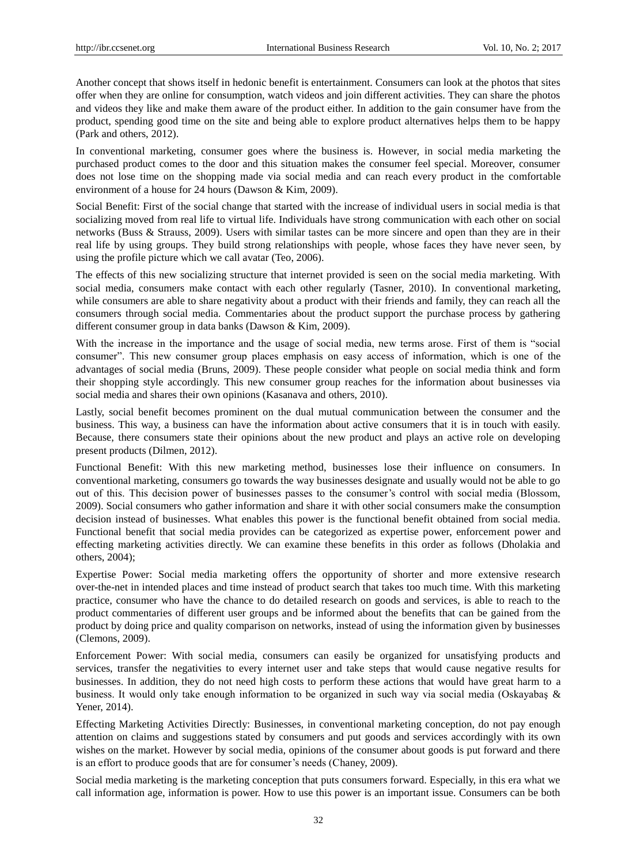Another concept that shows itself in hedonic benefit is entertainment. Consumers can look at the photos that sites offer when they are online for consumption, watch videos and join different activities. They can share the photos and videos they like and make them aware of the product either. In addition to the gain consumer have from the product, spending good time on the site and being able to explore product alternatives helps them to be happy (Park and others, 2012).

In conventional marketing, consumer goes where the business is. However, in social media marketing the purchased product comes to the door and this situation makes the consumer feel special. Moreover, consumer does not lose time on the shopping made via social media and can reach every product in the comfortable environment of a house for 24 hours (Dawson & Kim, 2009).

Social Benefit: First of the social change that started with the increase of individual users in social media is that socializing moved from real life to virtual life. Individuals have strong communication with each other on social networks (Buss & Strauss, 2009). Users with similar tastes can be more sincere and open than they are in their real life by using groups. They build strong relationships with people, whose faces they have never seen, by using the profile picture which we call avatar (Teo, 2006).

The effects of this new socializing structure that internet provided is seen on the social media marketing. With social media, consumers make contact with each other regularly (Tasner, 2010). In conventional marketing, while consumers are able to share negativity about a product with their friends and family, they can reach all the consumers through social media. Commentaries about the product support the purchase process by gathering different consumer group in data banks (Dawson & Kim, 2009).

With the increase in the importance and the usage of social media, new terms arose. First of them is "social consumer". This new consumer group places emphasis on easy access of information, which is one of the advantages of social media (Bruns, 2009). These people consider what people on social media think and form their shopping style accordingly. This new consumer group reaches for the information about businesses via social media and shares their own opinions (Kasanava and others, 2010).

Lastly, social benefit becomes prominent on the dual mutual communication between the consumer and the business. This way, a business can have the information about active consumers that it is in touch with easily. Because, there consumers state their opinions about the new product and plays an active role on developing present products (Dilmen, 2012).

Functional Benefit: With this new marketing method, businesses lose their influence on consumers. In conventional marketing, consumers go towards the way businesses designate and usually would not be able to go out of this. This decision power of businesses passes to the consumer's control with social media (Blossom, 2009). Social consumers who gather information and share it with other social consumers make the consumption decision instead of businesses. What enables this power is the functional benefit obtained from social media. Functional benefit that social media provides can be categorized as expertise power, enforcement power and effecting marketing activities directly. We can examine these benefits in this order as follows (Dholakia and others, 2004);

Expertise Power: Social media marketing offers the opportunity of shorter and more extensive research over-the-net in intended places and time instead of product search that takes too much time. With this marketing practice, consumer who have the chance to do detailed research on goods and services, is able to reach to the product commentaries of different user groups and be informed about the benefits that can be gained from the product by doing price and quality comparison on networks, instead of using the information given by businesses (Clemons, 2009).

Enforcement Power: With social media, consumers can easily be organized for unsatisfying products and services, transfer the negativities to every internet user and take steps that would cause negative results for businesses. In addition, they do not need high costs to perform these actions that would have great harm to a business. It would only take enough information to be organized in such way via social media (Oskayabaş & Yener, 2014).

Effecting Marketing Activities Directly: Businesses, in conventional marketing conception, do not pay enough attention on claims and suggestions stated by consumers and put goods and services accordingly with its own wishes on the market. However by social media, opinions of the consumer about goods is put forward and there is an effort to produce goods that are for consumer's needs (Chaney, 2009).

Social media marketing is the marketing conception that puts consumers forward. Especially, in this era what we call information age, information is power. How to use this power is an important issue. Consumers can be both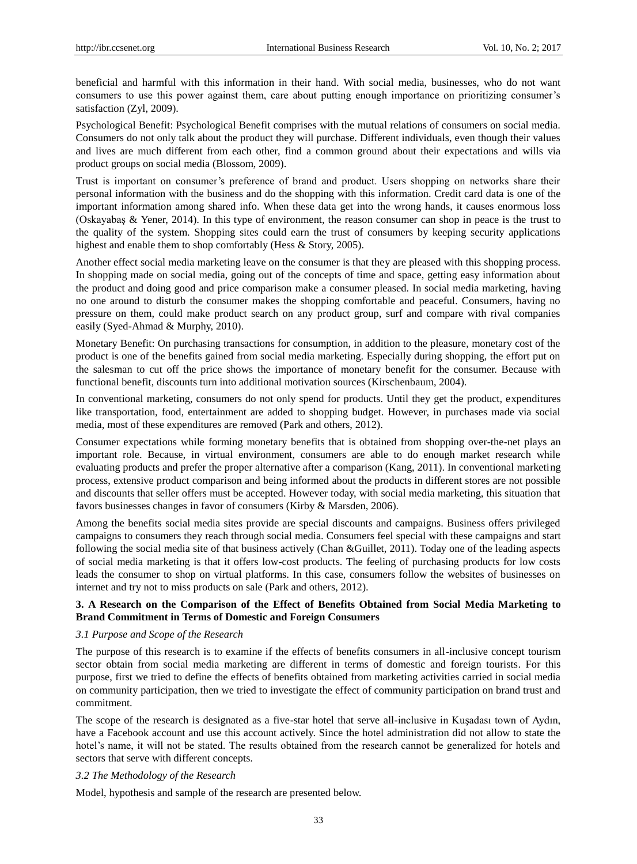beneficial and harmful with this information in their hand. With social media, businesses, who do not want consumers to use this power against them, care about putting enough importance on prioritizing consumer"s satisfaction (Zyl, 2009).

Psychological Benefit: Psychological Benefit comprises with the mutual relations of consumers on social media. Consumers do not only talk about the product they will purchase. Different individuals, even though their values and lives are much different from each other, find a common ground about their expectations and wills via product groups on social media (Blossom, 2009).

Trust is important on consumer"s preference of brand and product. Users shopping on networks share their personal information with the business and do the shopping with this information. Credit card data is one of the important information among shared info. When these data get into the wrong hands, it causes enormous loss (Oskayabaş & Yener, 2014). In this type of environment, the reason consumer can shop in peace is the trust to the quality of the system. Shopping sites could earn the trust of consumers by keeping security applications highest and enable them to shop comfortably (Hess & Story, 2005).

Another effect social media marketing leave on the consumer is that they are pleased with this shopping process. In shopping made on social media, going out of the concepts of time and space, getting easy information about the product and doing good and price comparison make a consumer pleased. In social media marketing, having no one around to disturb the consumer makes the shopping comfortable and peaceful. Consumers, having no pressure on them, could make product search on any product group, surf and compare with rival companies easily (Syed-Ahmad & Murphy, 2010).

Monetary Benefit: On purchasing transactions for consumption, in addition to the pleasure, monetary cost of the product is one of the benefits gained from social media marketing. Especially during shopping, the effort put on the salesman to cut off the price shows the importance of monetary benefit for the consumer. Because with functional benefit, discounts turn into additional motivation sources (Kirschenbaum, 2004).

In conventional marketing, consumers do not only spend for products. Until they get the product, expenditures like transportation, food, entertainment are added to shopping budget. However, in purchases made via social media, most of these expenditures are removed (Park and others, 2012).

Consumer expectations while forming monetary benefits that is obtained from shopping over-the-net plays an important role. Because, in virtual environment, consumers are able to do enough market research while evaluating products and prefer the proper alternative after a comparison (Kang, 2011). In conventional marketing process, extensive product comparison and being informed about the products in different stores are not possible and discounts that seller offers must be accepted. However today, with social media marketing, this situation that favors businesses changes in favor of consumers (Kirby & Marsden, 2006).

Among the benefits social media sites provide are special discounts and campaigns. Business offers privileged campaigns to consumers they reach through social media. Consumers feel special with these campaigns and start following the social media site of that business actively (Chan &Guillet, 2011). Today one of the leading aspects of social media marketing is that it offers low-cost products. The feeling of purchasing products for low costs leads the consumer to shop on virtual platforms. In this case, consumers follow the websites of businesses on internet and try not to miss products on sale (Park and others, 2012).

# **3. A Research on the Comparison of the Effect of Benefits Obtained from Social Media Marketing to Brand Commitment in Terms of Domestic and Foreign Consumers**

## *3.1 Purpose and Scope of the Research*

The purpose of this research is to examine if the effects of benefits consumers in all-inclusive concept tourism sector obtain from social media marketing are different in terms of domestic and foreign tourists. For this purpose, first we tried to define the effects of benefits obtained from marketing activities carried in social media on community participation, then we tried to investigate the effect of community participation on brand trust and commitment.

The scope of the research is designated as a five-star hotel that serve all-inclusive in Kuşadası town of Aydın, have a Facebook account and use this account actively. Since the hotel administration did not allow to state the hotel's name, it will not be stated. The results obtained from the research cannot be generalized for hotels and sectors that serve with different concepts.

#### *3.2 The Methodology of the Research*

Model, hypothesis and sample of the research are presented below.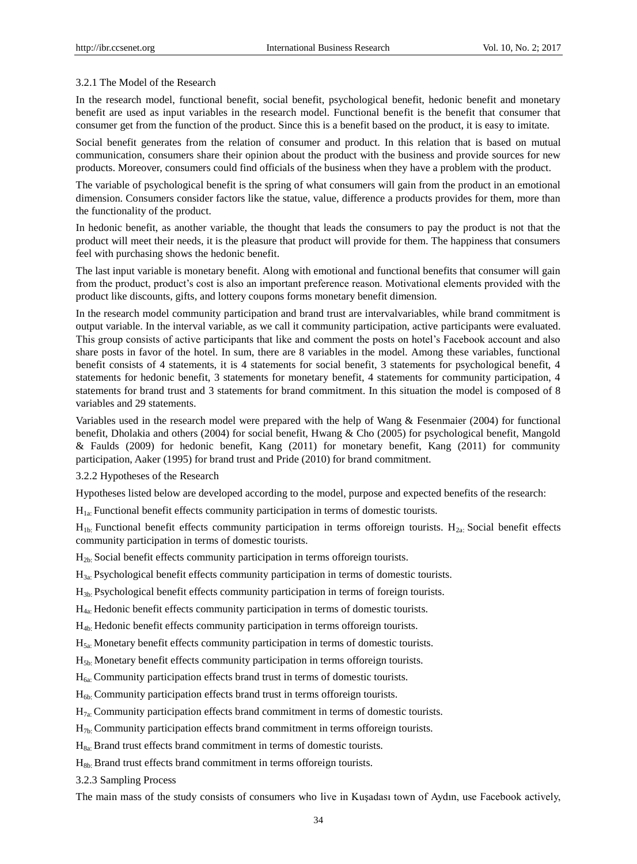#### 3.2.1 The Model of the Research

In the research model, functional benefit, social benefit, psychological benefit, hedonic benefit and monetary benefit are used as input variables in the research model. Functional benefit is the benefit that consumer that consumer get from the function of the product. Since this is a benefit based on the product, it is easy to imitate.

Social benefit generates from the relation of consumer and product. In this relation that is based on mutual communication, consumers share their opinion about the product with the business and provide sources for new products. Moreover, consumers could find officials of the business when they have a problem with the product.

The variable of psychological benefit is the spring of what consumers will gain from the product in an emotional dimension. Consumers consider factors like the statue, value, difference a products provides for them, more than the functionality of the product.

In hedonic benefit, as another variable, the thought that leads the consumers to pay the product is not that the product will meet their needs, it is the pleasure that product will provide for them. The happiness that consumers feel with purchasing shows the hedonic benefit.

The last input variable is monetary benefit. Along with emotional and functional benefits that consumer will gain from the product, product's cost is also an important preference reason. Motivational elements provided with the product like discounts, gifts, and lottery coupons forms monetary benefit dimension.

In the research model community participation and brand trust are intervalvariables, while brand commitment is output variable. In the interval variable, as we call it community participation, active participants were evaluated. This group consists of active participants that like and comment the posts on hotel"s Facebook account and also share posts in favor of the hotel. In sum, there are 8 variables in the model. Among these variables, functional benefit consists of 4 statements, it is 4 statements for social benefit, 3 statements for psychological benefit, 4 statements for hedonic benefit, 3 statements for monetary benefit, 4 statements for community participation, 4 statements for brand trust and 3 statements for brand commitment. In this situation the model is composed of 8 variables and 29 statements.

Variables used in the research model were prepared with the help of Wang & Fesenmaier (2004) for functional benefit, Dholakia and others (2004) for social benefit, Hwang & Cho (2005) for psychological benefit, Mangold & Faulds (2009) for hedonic benefit, Kang (2011) for monetary benefit, Kang (2011) for community participation, Aaker (1995) for brand trust and Pride (2010) for brand commitment.

3.2.2 Hypotheses of the Research

Hypotheses listed below are developed according to the model, purpose and expected benefits of the research:

H<sub>1a:</sub> Functional benefit effects community participation in terms of domestic tourists.

 $H_{1h}$ : Functional benefit effects community participation in terms offoreign tourists.  $H_{2a}$ : Social benefit effects community participation in terms of domestic tourists.

H<sub>2b:</sub> Social benefit effects community participation in terms offoreign tourists.

H3a: Psychological benefit effects community participation in terms of domestic tourists.

H3b: Psychological benefit effects community participation in terms of foreign tourists.

H4a: Hedonic benefit effects community participation in terms of domestic tourists.

H4b: Hedonic benefit effects community participation in terms offoreign tourists.

H5a: Monetary benefit effects community participation in terms of domestic tourists.

H5b: Monetary benefit effects community participation in terms offoreign tourists.

 $H<sub>6a</sub>$ : Community participation effects brand trust in terms of domestic tourists.

 $H<sub>6b</sub>$ : Community participation effects brand trust in terms offoreign tourists.

 $H_{7a}$ : Community participation effects brand commitment in terms of domestic tourists.

 $H_{7b}$ : Community participation effects brand commitment in terms offoreign tourists.

 $H_{8a}$ : Brand trust effects brand commitment in terms of domestic tourists.

 $H<sub>8b</sub>$ : Brand trust effects brand commitment in terms offoreign tourists.

3.2.3 Sampling Process

The main mass of the study consists of consumers who live in Kuşadası town of Aydın, use Facebook actively,

34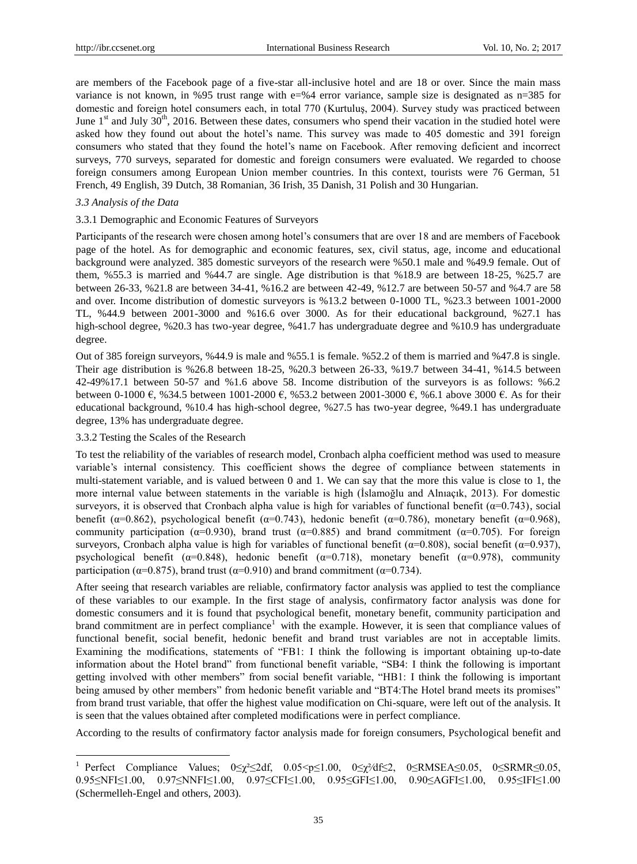are members of the Facebook page of a five-star all-inclusive hotel and are 18 or over. Since the main mass variance is not known, in %95 trust range with  $e=$ %4 error variance, sample size is designated as  $n=385$  for domestic and foreign hotel consumers each, in total 770 (Kurtuluş, 2004). Survey study was practiced between June  $1<sup>st</sup>$  and July 30<sup>th</sup>, 2016. Between these dates, consumers who spend their vacation in the studied hotel were asked how they found out about the hotel's name. This survey was made to 405 domestic and 391 foreign consumers who stated that they found the hotel"s name on Facebook. After removing deficient and incorrect surveys, 770 surveys, separated for domestic and foreign consumers were evaluated. We regarded to choose foreign consumers among European Union member countries. In this context, tourists were 76 German, 51 French, 49 English, 39 Dutch, 38 Romanian, 36 Irish, 35 Danish, 31 Polish and 30 Hungarian.

#### *3.3 Analysis of the Data*

## 3.3.1 Demographic and Economic Features of Surveyors

Participants of the research were chosen among hotel"s consumers that are over 18 and are members of Facebook page of the hotel. As for demographic and economic features, sex, civil status, age, income and educational background were analyzed. 385 domestic surveyors of the research were %50.1 male and %49.9 female. Out of them, %55.3 is married and %44.7 are single. Age distribution is that %18.9 are between 18-25, %25.7 are between 26-33, %21.8 are between 34-41, %16.2 are between 42-49, %12.7 are between 50-57 and %4.7 are 58 and over. Income distribution of domestic surveyors is %13.2 between 0-1000 TL, %23.3 between 1001-2000 TL, %44.9 between 2001-3000 and %16.6 over 3000. As for their educational background, %27.1 has high-school degree, %20.3 has two-year degree, %41.7 has undergraduate degree and %10.9 has undergraduate degree.

Out of 385 foreign surveyors, %44.9 is male and %55.1 is female. %52.2 of them is married and %47.8 is single. Their age distribution is %26.8 between 18-25, %20.3 between 26-33, %19.7 between 34-41, %14.5 between 42-49%17.1 between 50-57 and %1.6 above 58. Income distribution of the surveyors is as follows: %6.2 between 0-1000 €, %34.5 between 1001-2000 €, %53.2 between 2001-3000 €, %6.1 above 3000 €. As for their educational background, %10.4 has high-school degree, %27.5 has two-year degree, %49.1 has undergraduate degree, 13% has undergraduate degree.

#### 3.3.2 Testing the Scales of the Research

l

To test the reliability of the variables of research model, Cronbach alpha coefficient method was used to measure variable's internal consistency. This coefficient shows the degree of compliance between statements in multi-statement variable, and is valued between 0 and 1. We can say that the more this value is close to 1, the more internal value between statements in the variable is high (İslamoğlu and Alnıaçık, 2013). For domestic surveyors, it is observed that Cronbach alpha value is high for variables of functional benefit ( $\alpha$ =0.743), social benefit ( $\alpha$ =0.862), psychological benefit ( $\alpha$ =0.743), hedonic benefit ( $\alpha$ =0.786), monetary benefit ( $\alpha$ =0.968), community participation ( $\alpha$ =0.930), brand trust ( $\alpha$ =0.885) and brand commitment ( $\alpha$ =0.705). For foreign surveyors, Cronbach alpha value is high for variables of functional benefit ( $\alpha$ =0.808), social benefit ( $\alpha$ =0.937), psychological benefit ( $\alpha$ =0.848), hedonic benefit ( $\alpha$ =0.718), monetary benefit ( $\alpha$ =0.978), community participation ( $\alpha$ =0.875), brand trust ( $\alpha$ =0.910) and brand commitment ( $\alpha$ =0.734).

After seeing that research variables are reliable, confirmatory factor analysis was applied to test the compliance of these variables to our example. In the first stage of analysis, confirmatory factor analysis was done for domestic consumers and it is found that psychological benefit, monetary benefit, community participation and brand commitment are in perfect compliance<sup>1</sup> with the example. However, it is seen that compliance values of functional benefit, social benefit, hedonic benefit and brand trust variables are not in acceptable limits. Examining the modifications, statements of "FB1: I think the following is important obtaining up-to-date information about the Hotel brand" from functional benefit variable, "SB4: I think the following is important getting involved with other members" from social benefit variable, "HB1: I think the following is important being amused by other members" from hedonic benefit variable and "BT4:The Hotel brand meets its promises" from brand trust variable, that offer the highest value modification on Chi-square, were left out of the analysis. It is seen that the values obtained after completed modifications were in perfect compliance.

According to the results of confirmatory factor analysis made for foreign consumers, Psychological benefit and

<sup>&</sup>lt;sup>1</sup> Perfect Compliance Values;  $0 \le \chi^2 \le 2df$ ,  $0.05 \le p \le 1.00$ ,  $0 \le \chi^2/df \le 2$ ,  $0 \le RMSEA \le 0.05$ ,  $0 \le SRMR \le 0.05$ , 0.95≤NFI≤1.00, 0.97≤NNFI≤1.00, 0.97≤CFI≤1.00, 0.95≤GFI≤1.00, 0.90≤AGFI≤1.00, 0.95≤IFI≤1.00 (Schermelleh-Engel and others, 2003).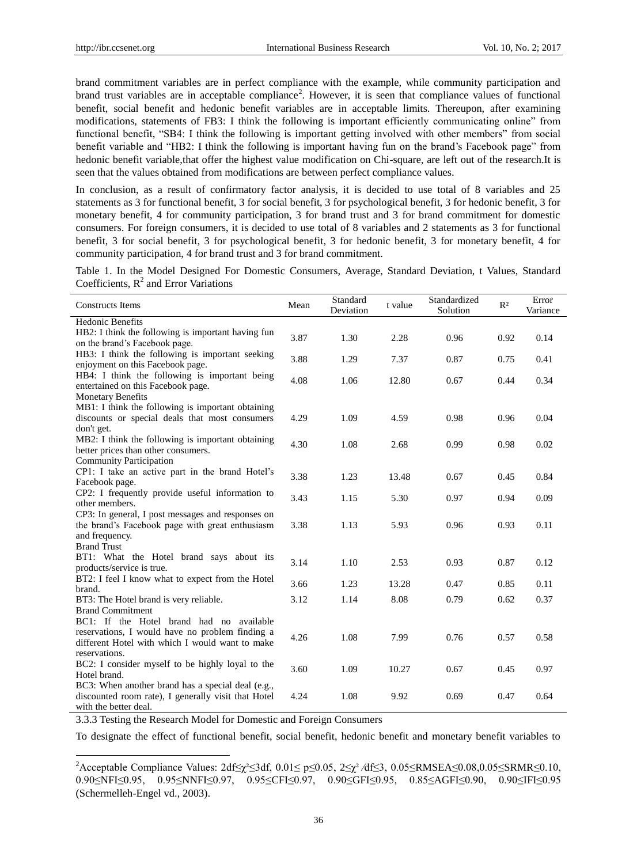brand commitment variables are in perfect compliance with the example, while community participation and brand trust variables are in acceptable compliance<sup>2</sup>. However, it is seen that compliance values of functional benefit, social benefit and hedonic benefit variables are in acceptable limits. Thereupon, after examining modifications, statements of FB3: I think the following is important efficiently communicating online" from functional benefit, "SB4: I think the following is important getting involved with other members" from social benefit variable and "HB2: I think the following is important having fun on the brand"s Facebook page" from hedonic benefit variable,that offer the highest value modification on Chi-square, are left out of the research.It is seen that the values obtained from modifications are between perfect compliance values.

In conclusion, as a result of confirmatory factor analysis, it is decided to use total of 8 variables and 25 statements as 3 for functional benefit, 3 for social benefit, 3 for psychological benefit, 3 for hedonic benefit, 3 for monetary benefit, 4 for community participation, 3 for brand trust and 3 for brand commitment for domestic consumers. For foreign consumers, it is decided to use total of 8 variables and 2 statements as 3 for functional benefit, 3 for social benefit, 3 for psychological benefit, 3 for hedonic benefit, 3 for monetary benefit, 4 for community participation, 4 for brand trust and 3 for brand commitment.

Table 1. In the Model Designed For Domestic Consumers, Average, Standard Deviation, t Values, Standard Coefficients,  $R^2$  and Error Variations

| <b>Constructs</b> Items                             | Mean | Standard<br>Deviation | t value | Standardized<br>Solution | R <sup>2</sup> | Error<br>Variance |
|-----------------------------------------------------|------|-----------------------|---------|--------------------------|----------------|-------------------|
| <b>Hedonic Benefits</b>                             |      |                       |         |                          |                |                   |
| HB2: I think the following is important having fun  |      | 1.30                  | 2.28    | 0.96                     | 0.92           | 0.14              |
| on the brand's Facebook page.                       | 3.87 |                       |         |                          |                |                   |
| HB3: I think the following is important seeking     |      |                       | 7.37    |                          |                |                   |
| enjoyment on this Facebook page.                    | 3.88 | 1.29                  |         | 0.87                     | 0.75           | 0.41              |
| HB4: I think the following is important being       | 4.08 | 1.06                  | 12.80   | 0.67                     |                | 0.34              |
| entertained on this Facebook page.                  |      |                       |         |                          | 0.44           |                   |
| <b>Monetary Benefits</b>                            |      |                       |         |                          |                |                   |
| MB1: I think the following is important obtaining   |      |                       |         |                          |                |                   |
| discounts or special deals that most consumers      | 4.29 | 1.09                  | 4.59    | 0.98                     | 0.96           | 0.04              |
| don't get.                                          |      |                       |         |                          |                |                   |
| MB2: I think the following is important obtaining   |      |                       |         |                          |                |                   |
| better prices than other consumers.                 | 4.30 | 1.08                  | 2.68    | 0.99                     | 0.98           | 0.02              |
| <b>Community Participation</b>                      |      |                       |         |                          |                |                   |
| CP1: I take an active part in the brand Hotel's     |      |                       |         |                          |                |                   |
| Facebook page.                                      | 3.38 | 1.23                  | 13.48   | 0.67                     | 0.45           | 0.84              |
| CP2: I frequently provide useful information to     |      |                       |         |                          |                |                   |
| other members.                                      | 3.43 | 1.15                  | 5.30    | 0.97                     | 0.94           | 0.09              |
| CP3: In general, I post messages and responses on   |      |                       |         |                          |                |                   |
| the brand's Facebook page with great enthusiasm     | 3.38 | 1.13                  | 5.93    | 0.96                     | 0.93           | 0.11              |
| and frequency.                                      |      |                       |         |                          |                |                   |
| <b>Brand Trust</b>                                  |      |                       |         |                          |                |                   |
| BT1: What the Hotel brand says about its            |      |                       |         |                          |                |                   |
| products/service is true.                           | 3.14 | 1.10                  | 2.53    | 0.93                     | 0.87           | 0.12              |
| BT2: I feel I know what to expect from the Hotel    | 3.66 | 1.23                  | 13.28   | 0.47                     | 0.85           | 0.11              |
| brand.                                              |      |                       |         |                          |                |                   |
| BT3: The Hotel brand is very reliable.              | 3.12 | 1.14                  | 8.08    | 0.79                     | 0.62           | 0.37              |
| <b>Brand Commitment</b>                             |      |                       |         |                          |                |                   |
| BC1: If the Hotel brand had no available            |      |                       |         |                          |                |                   |
| reservations, I would have no problem finding a     | 4.26 | 1.08                  | 7.99    | 0.76                     | 0.57           | 0.58              |
| different Hotel with which I would want to make     |      |                       |         |                          |                |                   |
| reservations.                                       |      |                       |         |                          |                |                   |
| BC2: I consider myself to be highly loyal to the    | 3.60 |                       | 10.27   | 0.67                     |                |                   |
| Hotel brand.                                        |      | 1.09                  |         |                          | 0.45           | 0.97              |
| BC3: When another brand has a special deal (e.g.,   |      |                       |         |                          |                |                   |
| discounted room rate), I generally visit that Hotel | 4.24 | 1.08                  | 9.92    | 0.69                     | 0.47           | 0.64              |
| with the better deal.                               |      |                       |         |                          |                |                   |

3.3.3 Testing the Research Model for Domestic and Foreign Consumers

l

To designate the effect of functional benefit, social benefit, hedonic benefit and monetary benefit variables to

<sup>&</sup>lt;sup>2</sup>Acceptable Compliance Values:  $2df \leq \chi^2 \leq 3df$ ,  $0.01 \leq p \leq 0.05$ ,  $2 \leq \chi^2/df \leq 3$ ,  $0.05 \leq \text{RMSEA} \leq 0.08$ ,  $0.05 \leq \text{SRMR} \leq 0.10$ , 0.90≤NFI≤0.95, 0.95≤NNFI≤0.97, 0.95≤CFI≤0.97, 0.90≤GFI≤0.95, 0.85≤AGFI≤0.90, 0.90≤IFI≤0.95 (Schermelleh-Engel vd., 2003).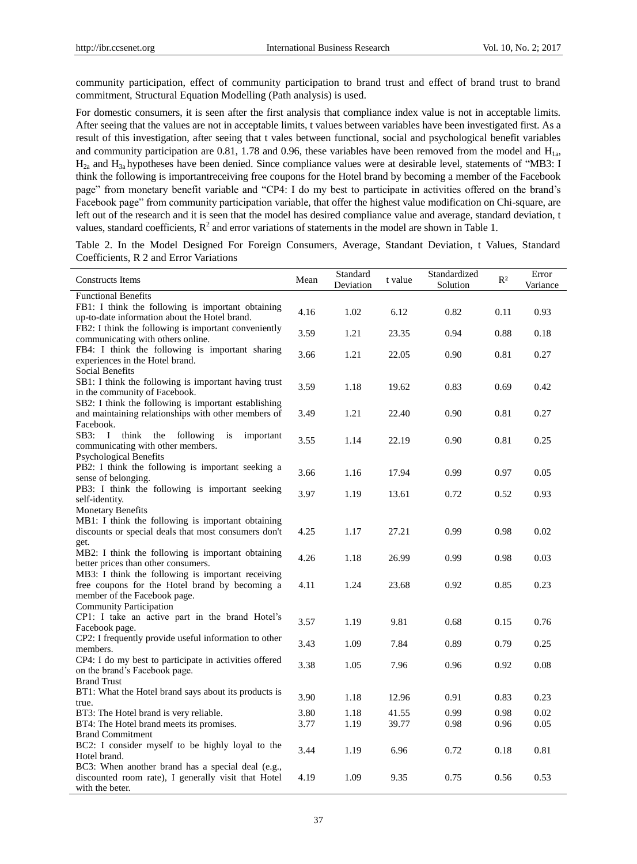community participation, effect of community participation to brand trust and effect of brand trust to brand commitment, Structural Equation Modelling (Path analysis) is used.

For domestic consumers, it is seen after the first analysis that compliance index value is not in acceptable limits. After seeing that the values are not in acceptable limits, t values between variables have been investigated first. As a result of this investigation, after seeing that t vales between functional, social and psychological benefit variables and community participation are 0.81, 1.78 and 0.96, these variables have been removed from the model and  $H_{1a}$ ,  $H_{2a}$  and  $H_{3a}$  hypotheses have been denied. Since compliance values were at desirable level, statements of "MB3: I think the following is importantreceiving free coupons for the Hotel brand by becoming a member of the Facebook page" from monetary benefit variable and "CP4: I do my best to participate in activities offered on the brand"s Facebook page" from community participation variable, that offer the highest value modification on Chi-square, are left out of the research and it is seen that the model has desired compliance value and average, standard deviation, t values, standard coefficients,  $R^2$  and error variations of statements in the model are shown in Table 1.

Table 2. In the Model Designed For Foreign Consumers, Average, Standant Deviation, t Values, Standard Coefficients, R 2 and Error Variations

| <b>Constructs Items</b>                                                | Mean | Standard<br>Deviation | t value | Standardized<br>Solution | R <sup>2</sup> | Error<br>Variance |
|------------------------------------------------------------------------|------|-----------------------|---------|--------------------------|----------------|-------------------|
| <b>Functional Benefits</b>                                             |      |                       |         |                          |                |                   |
| FB1: I think the following is important obtaining                      | 4.16 | 1.02                  | 6.12    | 0.82                     | 0.11           | 0.93              |
| up-to-date information about the Hotel brand.                          |      |                       |         |                          |                |                   |
| FB2: I think the following is important conveniently                   | 3.59 | 1.21                  | 23.35   | 0.94                     | 0.88           | 0.18              |
| communicating with others online.                                      |      |                       |         |                          |                |                   |
| FB4: I think the following is important sharing                        | 3.66 | 1.21                  | 22.05   | 0.90                     | 0.81           | 0.27              |
| experiences in the Hotel brand.<br>Social Benefits                     |      |                       |         |                          |                |                   |
| SB1: I think the following is important having trust                   | 3.59 | 1.18                  | 19.62   | 0.83                     | 0.69           | 0.42              |
| in the community of Facebook.                                          |      |                       |         |                          |                |                   |
| SB2: I think the following is important establishing                   |      |                       |         |                          |                |                   |
| and maintaining relationships with other members of                    | 3.49 | 1.21                  | 22.40   | 0.90                     | 0.81           | 0.27              |
| Facebook.                                                              |      |                       |         |                          |                |                   |
| think<br>SB3: I<br>the<br>following<br>is<br>important                 | 3.55 | 1.14                  | 22.19   | 0.90                     | 0.81           | 0.25              |
| communicating with other members.                                      |      |                       |         |                          |                |                   |
| <b>Psychological Benefits</b>                                          |      |                       |         |                          |                |                   |
| PB2: I think the following is important seeking a                      | 3.66 | 1.16                  | 17.94   | 0.99                     | 0.97           | 0.05              |
| sense of belonging.<br>PB3: I think the following is important seeking |      |                       |         |                          |                |                   |
| self-identity.                                                         | 3.97 | 1.19                  | 13.61   | 0.72                     | 0.52           | 0.93              |
| <b>Monetary Benefits</b>                                               |      |                       |         |                          |                |                   |
| MB1: I think the following is important obtaining                      |      |                       |         |                          |                |                   |
| discounts or special deals that most consumers don't                   | 4.25 | 1.17                  | 27.21   | 0.99                     | 0.98           | 0.02              |
| get.                                                                   |      |                       |         |                          |                |                   |
| MB2: I think the following is important obtaining                      |      |                       |         |                          |                |                   |
| better prices than other consumers.                                    | 4.26 | 1.18                  | 26.99   | 0.99                     | 0.98           | 0.03              |
| MB3: I think the following is important receiving                      |      |                       |         |                          |                |                   |
| free coupons for the Hotel brand by becoming a                         | 4.11 | 1.24                  | 23.68   | 0.92                     | 0.85           | 0.23              |
| member of the Facebook page.                                           |      |                       |         |                          |                |                   |
| <b>Community Participation</b>                                         |      |                       |         |                          |                |                   |
| CP1: I take an active part in the brand Hotel's                        | 3.57 | 1.19                  | 9.81    | 0.68                     | 0.15           | 0.76              |
| Facebook page.                                                         |      |                       |         |                          |                |                   |
| CP2: I frequently provide useful information to other                  | 3.43 | 1.09                  | 7.84    | 0.89                     | 0.79           | 0.25              |
| members.                                                               |      |                       |         |                          |                |                   |
| CP4: I do my best to participate in activities offered                 | 3.38 | 1.05                  | 7.96    | 0.96                     | 0.92           | 0.08              |
| on the brand's Facebook page.<br><b>Brand Trust</b>                    |      |                       |         |                          |                |                   |
| BT1: What the Hotel brand says about its products is                   |      |                       |         |                          |                |                   |
| true.                                                                  | 3.90 | 1.18                  | 12.96   | 0.91                     | 0.83           | 0.23              |
| BT3: The Hotel brand is very reliable.                                 | 3.80 | 1.18                  | 41.55   | 0.99                     | 0.98           | 0.02              |
| BT4: The Hotel brand meets its promises.                               | 3.77 | 1.19                  | 39.77   | 0.98                     | 0.96           | 0.05              |
| <b>Brand Commitment</b>                                                |      |                       |         |                          |                |                   |
| BC2: I consider myself to be highly loyal to the                       |      |                       |         |                          |                |                   |
| Hotel brand.                                                           | 3.44 | 1.19                  | 6.96    | 0.72                     | 0.18           | 0.81              |
| BC3: When another brand has a special deal (e.g.,                      |      |                       |         |                          |                |                   |
| discounted room rate), I generally visit that Hotel                    | 4.19 | 1.09                  | 9.35    | 0.75                     | 0.56           | 0.53              |
| with the beter.                                                        |      |                       |         |                          |                |                   |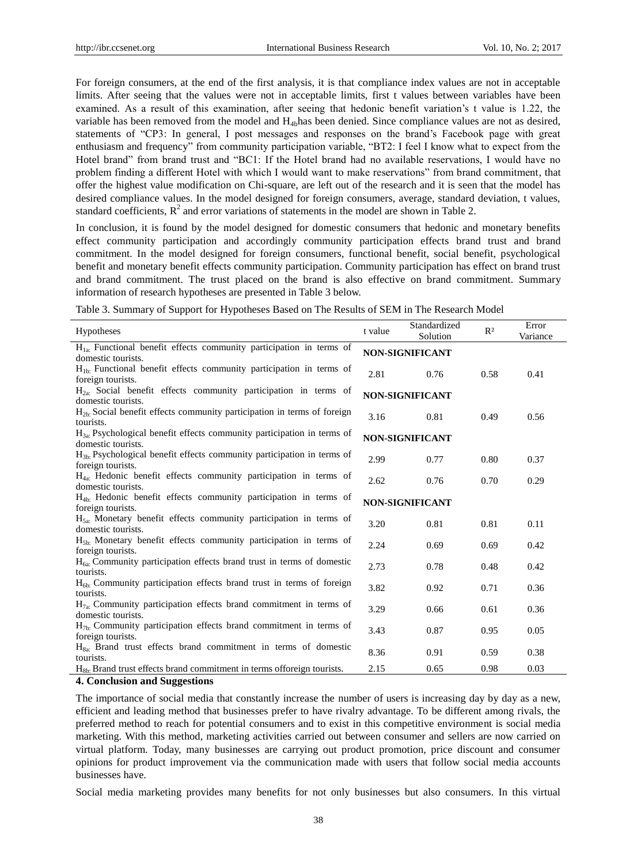For foreign consumers, at the end of the first analysis, it is that compliance index values are not in acceptable limits. After seeing that the values were not in acceptable limits, first t values between variables have been examined. As a result of this examination, after seeing that hedonic benefit variation"s t value is 1.22, the variable has been removed from the model and  $H_{4b}$ has been denied. Since compliance values are not as desired, statements of "CP3: In general, I post messages and responses on the brand"s Facebook page with great enthusiasm and frequency" from community participation variable, "BT2: I feel I know what to expect from the Hotel brand" from brand trust and "BC1: If the Hotel brand had no available reservations, I would have no problem finding a different Hotel with which I would want to make reservations" from brand commitment, that offer the highest value modification on Chi-square, are left out of the research and it is seen that the model has desired compliance values. In the model designed for foreign consumers, average, standard deviation, t values, standard coefficients,  $R^2$  and error variations of statements in the model are shown in Table 2.

In conclusion, it is found by the model designed for domestic consumers that hedonic and monetary benefits effect community participation and accordingly community participation effects brand trust and brand commitment. In the model designed for foreign consumers, functional benefit, social benefit, psychological benefit and monetary benefit effects community participation. Community participation has effect on brand trust and brand commitment. The trust placed on the brand is also effective on brand commitment. Summary information of research hypotheses are presented in Table 3 below.

|  | Table 3. Summary of Support for Hypotheses Based on The Results of SEM in The Research Model |  |  |  |  |  |  |  |
|--|----------------------------------------------------------------------------------------------|--|--|--|--|--|--|--|
|  |                                                                                              |  |  |  |  |  |  |  |

| Hypotheses                                                                                          | t value                | Standardized<br>Solution | R <sup>2</sup> | Error<br>Variance |  |  |  |
|-----------------------------------------------------------------------------------------------------|------------------------|--------------------------|----------------|-------------------|--|--|--|
| $H1a$ : Functional benefit effects community participation in terms of<br>domestic tourists.        | <b>NON-SIGNIFICANT</b> |                          |                |                   |  |  |  |
| $H_{1b}$ : Functional benefit effects community participation in terms of<br>foreign tourists.      | 2.81                   | 0.76                     | 0.58           | 0.41              |  |  |  |
| $H2a$ : Social benefit effects community participation in terms of<br>domestic tourists.            |                        | <b>NON-SIGNIFICANT</b>   |                |                   |  |  |  |
| $H_{2h}$ . Social benefit effects community participation in terms of foreign<br>tourists.          | 3.16                   | 0.81                     | 0.49           | 0.56              |  |  |  |
| $H_{3a}$ . Psychological benefit effects community participation in terms of<br>domestic tourists.  | <b>NON-SIGNIFICANT</b> |                          |                |                   |  |  |  |
| $H_{3h}$ : Psychological benefit effects community participation in terms of<br>foreign tourists.   | 2.99                   | 0.77                     | 0.80           | 0.37              |  |  |  |
| $H_{4a}$ . Hedonic benefit effects community participation in terms of<br>domestic tourists.        | 2.62                   | 0.76                     | 0.70           | 0.29              |  |  |  |
| $H_{4b}$ . Hedonic benefit effects community participation in terms of<br>foreign tourists.         | <b>NON-SIGNIFICANT</b> |                          |                |                   |  |  |  |
| $H5a$ : Monetary benefit effects community participation in terms of<br>domestic tourists.          | 3.20                   | 0.81                     | 0.81           | 0.11              |  |  |  |
| $H_{5b}$ : Monetary benefit effects community participation in terms of<br>foreign tourists.        | 2.24                   | 0.69                     | 0.69           | 0.42              |  |  |  |
| $H6a$ . Community participation effects brand trust in terms of domestic<br>tourists.               | 2.73                   | 0.78                     | 0.48           | 0.42              |  |  |  |
| $H_{6h}$ . Community participation effects brand trust in terms of foreign<br>tourists.             | 3.82                   | 0.92                     | 0.71           | 0.36              |  |  |  |
| $H_{7a}$ : Community participation effects brand commitment in terms of<br>domestic tourists.       | 3.29                   | 0.66                     | 0.61           | 0.36              |  |  |  |
| $H_{7h}$ . Community participation effects brand commitment in terms of<br>foreign tourists.        | 3.43                   | 0.87                     | 0.95           | 0.05              |  |  |  |
| $H_{8a}$ . Brand trust effects brand commitment in terms of domestic<br>tourists.                   | 8.36                   | 0.91                     | 0.59           | 0.38              |  |  |  |
| H <sub>8b:</sub> Brand trust effects brand commitment in terms offoreign tourists.<br>$\sim$ $\sim$ | 2.15                   | 0.65                     | 0.98           | 0.03              |  |  |  |

## **4. Conclusion and Suggestions**

The importance of social media that constantly increase the number of users is increasing day by day as a new, efficient and leading method that businesses prefer to have rivalry advantage. To be different among rivals, the preferred method to reach for potential consumers and to exist in this competitive environment is social media marketing. With this method, marketing activities carried out between consumer and sellers are now carried on virtual platform. Today, many businesses are carrying out product promotion, price discount and consumer opinions for product improvement via the communication made with users that follow social media accounts businesses have.

Social media marketing provides many benefits for not only businesses but also consumers. In this virtual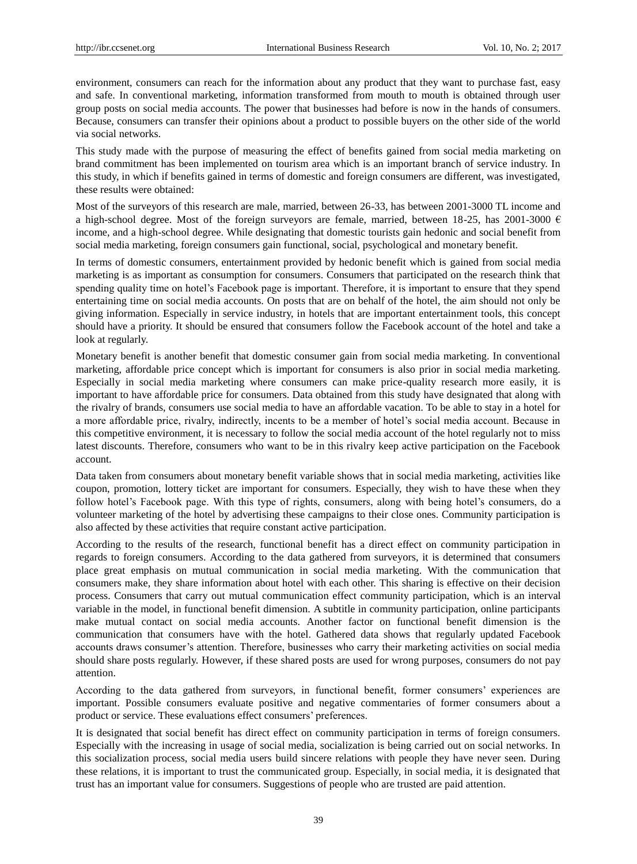environment, consumers can reach for the information about any product that they want to purchase fast, easy and safe. In conventional marketing, information transformed from mouth to mouth is obtained through user group posts on social media accounts. The power that businesses had before is now in the hands of consumers. Because, consumers can transfer their opinions about a product to possible buyers on the other side of the world via social networks.

This study made with the purpose of measuring the effect of benefits gained from social media marketing on brand commitment has been implemented on tourism area which is an important branch of service industry. In this study, in which if benefits gained in terms of domestic and foreign consumers are different, was investigated, these results were obtained:

Most of the surveyors of this research are male, married, between 26-33, has between 2001-3000 TL income and a high-school degree. Most of the foreign surveyors are female, married, between 18-25, has 2001-3000  $\epsilon$ income, and a high-school degree. While designating that domestic tourists gain hedonic and social benefit from social media marketing, foreign consumers gain functional, social, psychological and monetary benefit.

In terms of domestic consumers, entertainment provided by hedonic benefit which is gained from social media marketing is as important as consumption for consumers. Consumers that participated on the research think that spending quality time on hotel's Facebook page is important. Therefore, it is important to ensure that they spend entertaining time on social media accounts. On posts that are on behalf of the hotel, the aim should not only be giving information. Especially in service industry, in hotels that are important entertainment tools, this concept should have a priority. It should be ensured that consumers follow the Facebook account of the hotel and take a look at regularly.

Monetary benefit is another benefit that domestic consumer gain from social media marketing. In conventional marketing, affordable price concept which is important for consumers is also prior in social media marketing. Especially in social media marketing where consumers can make price-quality research more easily, it is important to have affordable price for consumers. Data obtained from this study have designated that along with the rivalry of brands, consumers use social media to have an affordable vacation. To be able to stay in a hotel for a more affordable price, rivalry, indirectly, incents to be a member of hotel"s social media account. Because in this competitive environment, it is necessary to follow the social media account of the hotel regularly not to miss latest discounts. Therefore, consumers who want to be in this rivalry keep active participation on the Facebook account.

Data taken from consumers about monetary benefit variable shows that in social media marketing, activities like coupon, promotion, lottery ticket are important for consumers. Especially, they wish to have these when they follow hotel"s Facebook page. With this type of rights, consumers, along with being hotel"s consumers, do a volunteer marketing of the hotel by advertising these campaigns to their close ones. Community participation is also affected by these activities that require constant active participation.

According to the results of the research, functional benefit has a direct effect on community participation in regards to foreign consumers. According to the data gathered from surveyors, it is determined that consumers place great emphasis on mutual communication in social media marketing. With the communication that consumers make, they share information about hotel with each other. This sharing is effective on their decision process. Consumers that carry out mutual communication effect community participation, which is an interval variable in the model, in functional benefit dimension. A subtitle in community participation, online participants make mutual contact on social media accounts. Another factor on functional benefit dimension is the communication that consumers have with the hotel. Gathered data shows that regularly updated Facebook accounts draws consumer's attention. Therefore, businesses who carry their marketing activities on social media should share posts regularly. However, if these shared posts are used for wrong purposes, consumers do not pay attention.

According to the data gathered from surveyors, in functional benefit, former consumers" experiences are important. Possible consumers evaluate positive and negative commentaries of former consumers about a product or service. These evaluations effect consumers' preferences.

It is designated that social benefit has direct effect on community participation in terms of foreign consumers. Especially with the increasing in usage of social media, socialization is being carried out on social networks. In this socialization process, social media users build sincere relations with people they have never seen. During these relations, it is important to trust the communicated group. Especially, in social media, it is designated that trust has an important value for consumers. Suggestions of people who are trusted are paid attention.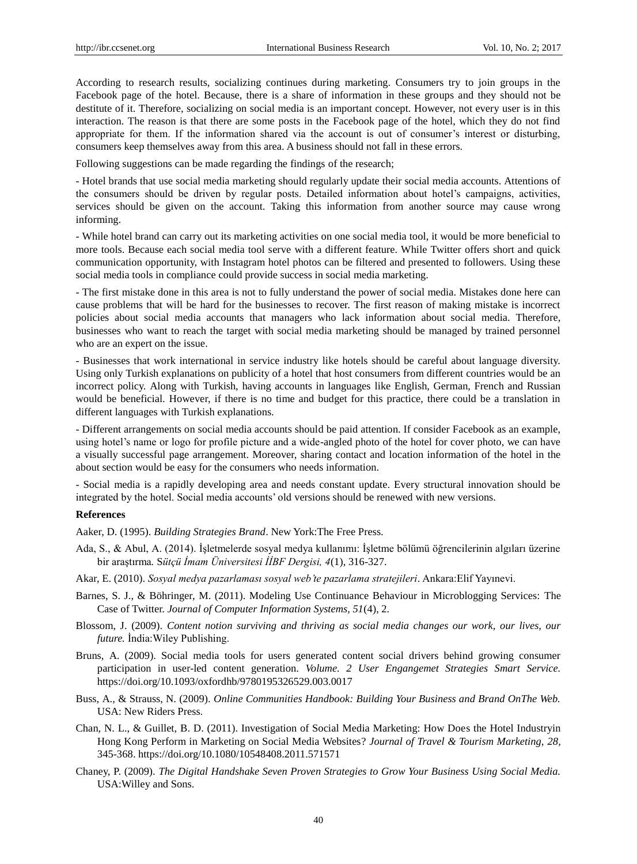According to research results, socializing continues during marketing. Consumers try to join groups in the Facebook page of the hotel. Because, there is a share of information in these groups and they should not be destitute of it. Therefore, socializing on social media is an important concept. However, not every user is in this interaction. The reason is that there are some posts in the Facebook page of the hotel, which they do not find appropriate for them. If the information shared via the account is out of consumer"s interest or disturbing, consumers keep themselves away from this area. A business should not fall in these errors.

Following suggestions can be made regarding the findings of the research;

- Hotel brands that use social media marketing should regularly update their social media accounts. Attentions of the consumers should be driven by regular posts. Detailed information about hotel"s campaigns, activities, services should be given on the account. Taking this information from another source may cause wrong informing.

- While hotel brand can carry out its marketing activities on one social media tool, it would be more beneficial to more tools. Because each social media tool serve with a different feature. While Twitter offers short and quick communication opportunity, with Instagram hotel photos can be filtered and presented to followers. Using these social media tools in compliance could provide success in social media marketing.

- The first mistake done in this area is not to fully understand the power of social media. Mistakes done here can cause problems that will be hard for the businesses to recover. The first reason of making mistake is incorrect policies about social media accounts that managers who lack information about social media. Therefore, businesses who want to reach the target with social media marketing should be managed by trained personnel who are an expert on the issue.

- Businesses that work international in service industry like hotels should be careful about language diversity. Using only Turkish explanations on publicity of a hotel that host consumers from different countries would be an incorrect policy. Along with Turkish, having accounts in languages like English, German, French and Russian would be beneficial. However, if there is no time and budget for this practice, there could be a translation in different languages with Turkish explanations.

- Different arrangements on social media accounts should be paid attention. If consider Facebook as an example, using hotel's name or logo for profile picture and a wide-angled photo of the hotel for cover photo, we can have a visually successful page arrangement. Moreover, sharing contact and location information of the hotel in the about section would be easy for the consumers who needs information.

- Social media is a rapidly developing area and needs constant update. Every structural innovation should be integrated by the hotel. Social media accounts" old versions should be renewed with new versions.

#### **References**

Aaker, D. (1995). *Building Strategies Brand*. New York:The Free Press.

- Ada, S., & Abul, A. (2014). İşletmelerde sosyal medya kullanımı: İşletme bölümü öğrencilerinin algıları üzerine bir araştırma*.* S*ütçü İmam Üniversitesi İİBF Dergisi, 4*(1), 316-327.
- Akar, E. (2010). *Sosyal medya pazarlaması sosyal web'te pazarlama stratejileri*. Ankara:Elif Yayınevi.
- Barnes, S. J., & Böhringer, M. (2011). Modeling Use Continuance Behaviour in Microblogging Services: The Case of Twitter. *Journal of Computer Information Systems, 51*(4), 2.
- Blossom, J. (2009). *Content notion surviving and thriving as social media changes our work, our lives, our future.* İndia:Wiley Publishing.
- Bruns, A. (2009). Social media tools for users generated content social drivers behind growing consumer participation in user-led content generation. *Volume. 2 User Engangemet Strategies Smart Service.*  <https://doi.org/10.1093/oxfordhb/9780195326529.003.0017>
- Buss, A., & Strauss, N. (2009). *Online Communities Handbook: Building Your Business and Brand OnThe Web.* USA: New Riders Press.
- Chan, N. L., & Guillet, B. D. (2011). Investigation of Social Media Marketing: How Does the Hotel Industryin Hong Kong Perform in Marketing on Social Media Websites? *Journal of Travel & Tourism Marketing, 28,*  345-368.<https://doi.org/10.1080/10548408.2011.571571>
- Chaney, P. (2009). *The Digital Handshake Seven Proven Strategies to Grow Your Business Using Social Media.* USA:Willey and Sons.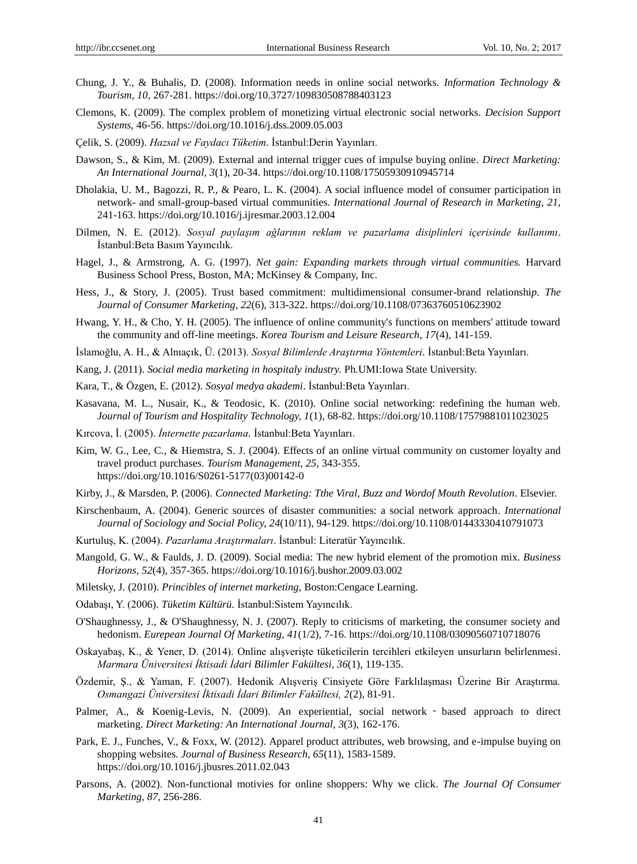- Chung, J. Y., & Buhalis, D. (2008). Information needs in online social networks. *Information Technology & Tourism, 10,* 267-281[. https://doi.org/10.3727/109830508788403123](https://doi.org/10.3727/109830508788403123)
- Clemons, K. (2009). The complex problem of monetizing virtual electronic social networks. *Decision Support Systems*, 46-56.<https://doi.org/10.1016/j.dss.2009.05.003>
- Çelik, S. (2009). *Hazsal ve Faydacı Tüketim.* İstanbul:Derin Yayınları.
- Dawson, S., & Kim, M. (2009). External and internal trigger cues of impulse buying online*. Direct Marketing: An International Journal, 3*(1), 20-34.<https://doi.org/10.1108/17505930910945714>
- Dholakia, U. M., Bagozzi, R. P., & Pearo, L. K. (2004). A social influence model of consumer participation in network- and small-group-based virtual communities. *International Journal of Research in Marketing, 21,*  241-163.<https://doi.org/10.1016/j.ijresmar.2003.12.004>
- Dilmen, N. E. (2012). *Sosyal paylaşım ağlarının reklam ve pazarlama disiplinleri içerisinde kullanımı*. İstanbul:Beta Basım Yayıncılık.
- Hagel, J., & Armstrong, A. G. (1997). *Net gain: Expanding markets through virtual communities.* Harvard Business School Press, Boston, MA; McKinsey & Company, Inc.
- Hess, J., & Story, J. (2005). Trust based commitment: multidimensional consumer-brand relationshi*p*. *The Journal of Consumer Marketing, 22*(6), 313-322.<https://doi.org/10.1108/07363760510623902>
- Hwang, Y. H., & Cho, Y. H. (2005). The influence of online community's functions on members' attitude toward the community and off-line meetings. *Korea Tourism and Leisure Research, 17*(4), 141-159.
- İslamoğlu, A. H., & Alnıaçık, Ü. (2013). *Sosyal Bilimlerde Araştırma Yöntemleri.* İstanbul:Beta Yayınları.
- Kang, J. (2011). *Social media marketing in hospitaly industry.* Ph.UMI:Iowa State University.
- Kara, T., & Özgen, E. (2012). *Sosyal medya akademi*. İstanbul:Beta Yayınları.
- Kasavana, M. L., Nusair, K., & Teodosic, K. (2010). Online social networking: redefining the human web. *Journal of Tourism and Hospitality Technology, 1*(1), 68-82[. https://doi.org/10.1108/17579881011023025](https://doi.org/10.1108/17579881011023025)
- Kırcova, İ. (2005). *İnternette pazarlama.* İstanbul:Beta Yayınları.
- Kim, W. G., Lee, C., & Hiemstra, S. J. (2004). Effects of an online virtual community on customer loyalty and travel product purchases. *Tourism Management, 25,* 343-355. [https://doi.org/10.1016/S0261-5177\(03\)00142-0](https://doi.org/10.1016/S0261-5177(03)00142-0)
- Kirby, J., & Marsden, P. (2006). *Connected Marketing: Tthe Viral, Buzz and Wordof Mouth Revolution*. Elsevier.
- Kirschenbaum, A. (2004). Generic sources of disaster communities: a social network approach. *International Journal of Sociology and Social Policy, 24*(10/11), 94-129.<https://doi.org/10.1108/01443330410791073>
- Kurtuluş, K. (2004). *Pazarlama Araştırmaları*. İstanbul: Literatür Yayıncılık.
- Mangold, G. W., & Faulds, J. D. (2009). Social media: The new hybrid element of the promotion mix. *Business Horizons, 52*(4), 357-365[. https://doi.org/10.1016/j.bushor.2009.03.002](https://doi.org/10.1016/j.bushor.2009.03.002)
- Miletsky, J. (2010). *Princibles of internet marketing,* Boston:Cengace Learning.
- Odabaşı, Y. (2006). *Tüketim Kültürü.* İstanbul:Sistem Yayıncılık.
- O'Shaughnessy, J., & O'Shaughnessy, N. J. (2007). Reply to criticisms of marketing, the consumer society and hedonism. *Eurepean Journal Of Marketing, 41*(1/2), 7-16[. https://doi.org/10.1108/03090560710718076](https://doi.org/10.1108/03090560710718076)
- Oskayabaş, K., & Yener, D. (2014). Online alışverişte tüketicilerin tercihleri etkileyen unsurların belirlenmesi. *Marmara Üniversitesi İktisadi İdari Bilimler Fakültesi*, *36*(1), 119-135.
- Özdemir, Ş., & Yaman, F. (2007). Hedonik Alışveriş Cinsiyete Göre Farklılaşması Üzerine Bir Araştırma. *Osmangazi Üniversitesi İktisadi İdari Bilimler Fakültesi, 2*(2), 81-91.
- Palmer, A., & Koenig-Levis, N. (2009). An experiential, social network based approach to direct marketing. *Direct Marketing: An International Journal, 3*(3), 162-176.
- Park, E. J., Funches, V., & Foxx, W. (2012). Apparel product attributes, web browsing, and e-impulse buying on shopping websites*. Journal of Business Research, 65*(11), 1583-1589. <https://doi.org/10.1016/j.jbusres.2011.02.043>
- Parsons, A. (2002). Non-functional motivies for online shoppers: Why we click. *The Journal Of Consumer Marketing, 87,* 256-286.